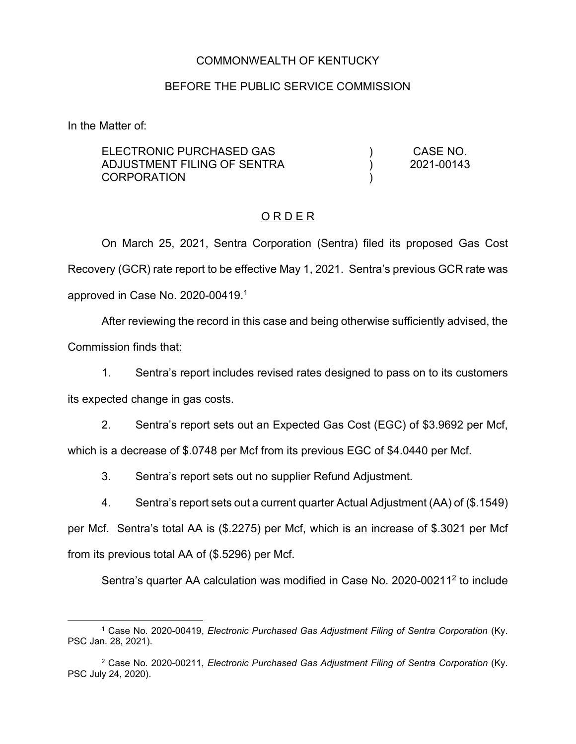## COMMONWEALTH OF KENTUCKY

#### BEFORE THE PUBLIC SERVICE COMMISSION

In the Matter of:

| ELECTRONIC PURCHASED GAS<br>ADJUSTMENT FILING OF SENTRA<br>CORPORATION |  | CASE NO.<br>2021-00143 |
|------------------------------------------------------------------------|--|------------------------|
|                                                                        |  |                        |
|                                                                        |  |                        |

### O R D E R

On March 25, 2021, Sentra Corporation (Sentra) filed its proposed Gas Cost Recovery (GCR) rate report to be effective May 1, 2021. Sentra's previous GCR rate was approved in Case No. 2020-00419. 1

After reviewing the record in this case and being otherwise sufficiently advised, the Commission finds that:

1. Sentra's report includes revised rates designed to pass on to its customers its expected change in gas costs.

2. Sentra's report sets out an Expected Gas Cost (EGC) of \$3.9692 per Mcf, which is a decrease of \$.0748 per Mcf from its previous EGC of \$4.0440 per Mcf.

3. Sentra's report sets out no supplier Refund Adjustment.

4. Sentra's report sets out a current quarter Actual Adjustment (AA) of (\$.1549)

per Mcf. Sentra's total AA is (\$.2275) per Mcf, which is an increase of \$.3021 per Mcf from its previous total AA of (\$.5296) per Mcf.

Sentra's quarter AA calculation was modified in Case No. 2020-00211<sup>2</sup> to include

<sup>1</sup> Case No. 2020-00419, *Electronic Purchased Gas Adjustment Filing of Sentra Corporation* (Ky. PSC Jan. 28, 2021).

<sup>2</sup> Case No. 2020-00211, *Electronic Purchased Gas Adjustment Filing of Sentra Corporation* (Ky. PSC July 24, 2020).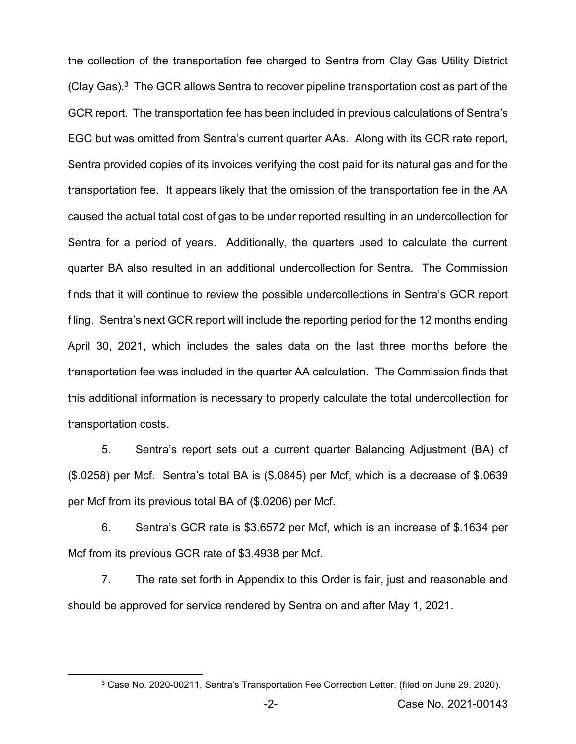the collection of the transportation fee charged to Sentra from Clay Gas Utility District (Clay Gas). 3 The GCR allows Sentra to recover pipeline transportation cost as part of the GCR report. The transportation fee has been included in previous calculations of Sentra's EGC but was omitted from Sentra's current quarter AAs. Along with its GCR rate report, Sentra provided copies of its invoices verifying the cost paid for its natural gas and for the transportation fee. It appears likely that the omission of the transportation fee in the AA caused the actual total cost of gas to be under reported resulting in an undercollection for Sentra for a period of years. Additionally, the quarters used to calculate the current quarter BA also resulted in an additional undercollection for Sentra. The Commission finds that it will continue to review the possible undercollections in Sentra's GCR report filing. Sentra's next GCR report will include the reporting period for the 12 months ending April 30, 2021, which includes the sales data on the last three months before the transportation fee was included in the quarter AA calculation. The Commission finds that this additional information is necessary to properly calculate the total undercollection for transportation costs.

5. Sentra's report sets out a current quarter Balancing Adjustment (BA) of (\$.0258) per Mcf. Sentra's total BA is (\$.0845) per Mcf, which is a decrease of \$.0639 per Mcf from its previous total BA of (\$.0206) per Mcf.

6. Sentra's GCR rate is \$3.6572 per Mcf, which is an increase of \$.1634 per Mcf from its previous GCR rate of \$3.4938 per Mcf.

7. The rate set forth in Appendix to this Order is fair, just and reasonable and should be approved for service rendered by Sentra on and after May 1, 2021.

<sup>3</sup> Case No. 2020-00211, Sentra's Transportation Fee Correction Letter, (filed on June 29, 2020).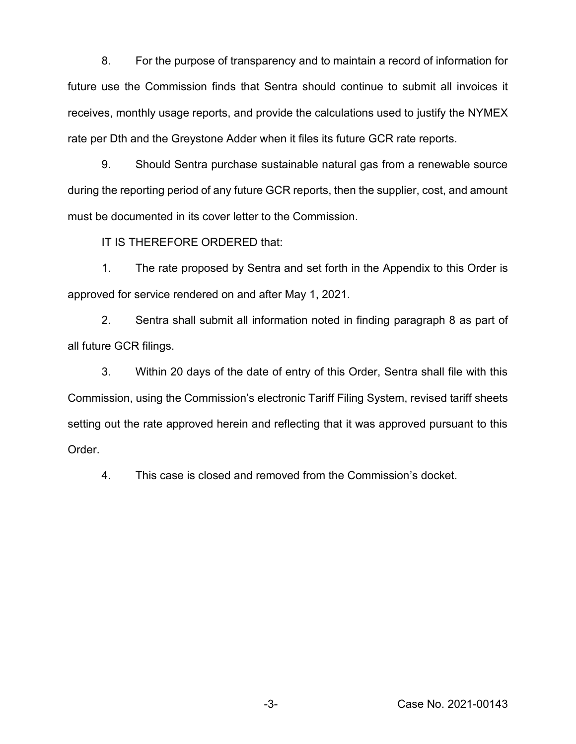8. For the purpose of transparency and to maintain a record of information for future use the Commission finds that Sentra should continue to submit all invoices it receives, monthly usage reports, and provide the calculations used to justify the NYMEX rate per Dth and the Greystone Adder when it files its future GCR rate reports.

9. Should Sentra purchase sustainable natural gas from a renewable source during the reporting period of any future GCR reports, then the supplier, cost, and amount must be documented in its cover letter to the Commission.

IT IS THEREFORE ORDERED that:

1. The rate proposed by Sentra and set forth in the Appendix to this Order is approved for service rendered on and after May 1, 2021.

2. Sentra shall submit all information noted in finding paragraph 8 as part of all future GCR filings.

3. Within 20 days of the date of entry of this Order, Sentra shall file with this Commission, using the Commission's electronic Tariff Filing System, revised tariff sheets setting out the rate approved herein and reflecting that it was approved pursuant to this Order.

4. This case is closed and removed from the Commission's docket.

-3- Case No. 2021-00143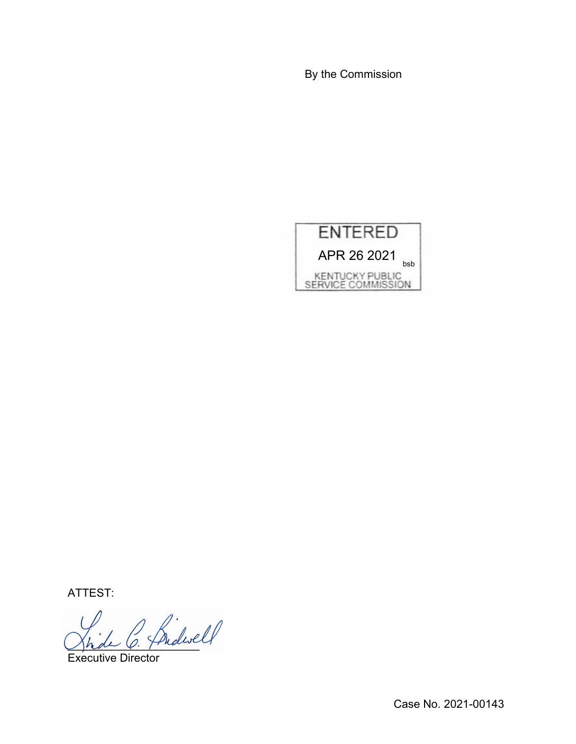By the Commission



ATTEST:

Shde O. Fridan

Executive Director

Case No. 2021-00143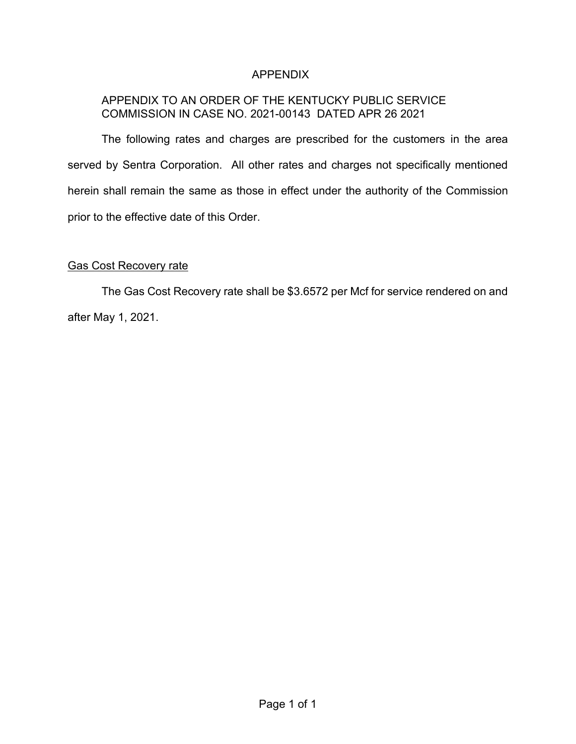# APPENDIX

# APPENDIX TO AN ORDER OF THE KENTUCKY PUBLIC SERVICE COMMISSION IN CASE NO. 2021-00143 DATED APR 26 2021

The following rates and charges are prescribed for the customers in the area served by Sentra Corporation. All other rates and charges not specifically mentioned herein shall remain the same as those in effect under the authority of the Commission prior to the effective date of this Order.

### Gas Cost Recovery rate

The Gas Cost Recovery rate shall be \$3.6572 per Mcf for service rendered on and after May 1, 2021.